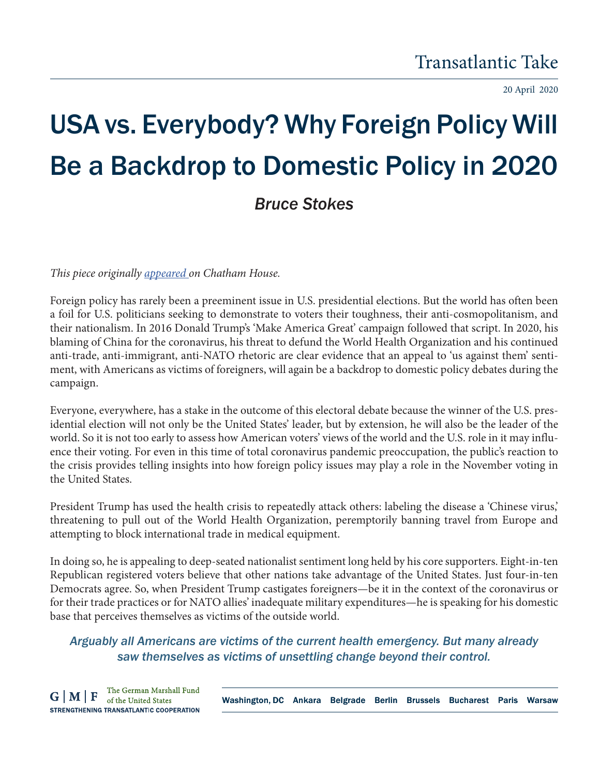20 April 2020

## USA vs. Everybody? Why Foreign Policy Will Be a Backdrop to Domestic Policy in 2020 *Bruce Stokes*

*This piece originally appeared on Chatham House.* 

Foreign policy has rarely been a preeminent issue in U.S. presidential elections. But the world has often been a foil for U.S. politicians seeking to demonstrate to voters their toughness, their anti-cosmopolitanism, and their nationalism. In 2016 Donald Trump's 'Make America Great' campaign followed that script. In 2020, his blaming of China for the coronavirus, his threat to defund the World Health Organization and his continued anti-trade, anti-immigrant, anti-NATO rhetoric are clear evidence that an appeal to 'us against them' sentiment, with Americans as victims of foreigners, will again be a backdrop to domestic policy debates during the campaign.

Everyone, everywhere, has a stake in the outcome of this electoral debate because the winner of the U.S. presidential election will not only be the United States' leader, but by extension, he will also be the leader of the world. So it is not too early to assess how American voters' views of the world and the U.S. role in it may influence their voting. For even in this time of total coronavirus pandemic preoccupation, the public's reaction to the crisis provides telling insights into how foreign policy issues may play a role in the November voting in the United States.

President Trump has used the health crisis to repeatedly attack others: labeling the disease a 'Chinese virus,' threatening to pull out of the World Health Organization, peremptorily banning travel from Europe and attempting to block international trade in medical equipment.

In doing so, he is appealing to deep-seated nationalist sentiment long held by his core supporters. Eight-in-ten Republican registered voters believe that other nations take advantage of the United States. Just four-in-ten Democrats agree. So, when President Trump castigates foreigners—be it in the context of the coronavirus or for their trade practices or for NATO allies' inadequate military expenditures—he is speaking for his domestic base that perceives themselves as victims of the outside world.

*Arguably all Americans are victims of the current health emergency. But many already saw themselves as victims of unsettling change beyond their control.*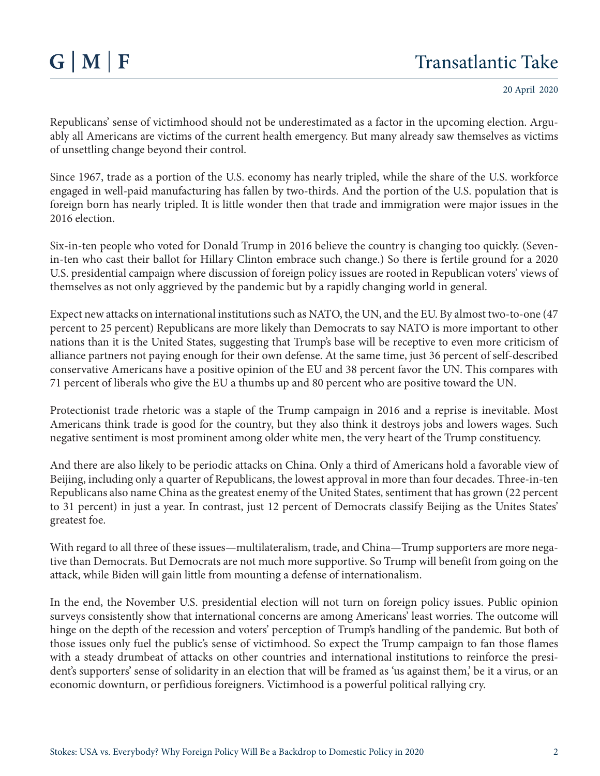20 April 2020

Republicans' sense of victimhood should not be underestimated as a factor in the upcoming election. Arguably all Americans are victims of the current health emergency. But many already saw themselves as victims of unsettling change beyond their control.

Since 1967, trade as a portion of the U.S. economy has nearly tripled, while the share of the U.S. workforce engaged in well-paid manufacturing has fallen by two-thirds. And the portion of the U.S. population that is foreign born has nearly tripled. It is little wonder then that trade and immigration were major issues in the 2016 election.

Six-in-ten people who voted for Donald Trump in 2016 believe the country is changing too quickly. (Sevenin-ten who cast their ballot for Hillary Clinton embrace such change.) So there is fertile ground for a 2020 U.S. presidential campaign where discussion of foreign policy issues are rooted in Republican voters' views of themselves as not only aggrieved by the pandemic but by a rapidly changing world in general.

Expect new attacks on international institutions such as NATO, the UN, and the EU. By almost two-to-one (47 percent to 25 percent) Republicans are more likely than Democrats to say NATO is more important to other nations than it is the United States, suggesting that Trump's base will be receptive to even more criticism of alliance partners not paying enough for their own defense. At the same time, just 36 percent of self-described conservative Americans have a positive opinion of the EU and 38 percent favor the UN. This compares with 71 percent of liberals who give the EU a thumbs up and 80 percent who are positive toward the UN.

Protectionist trade rhetoric was a staple of the Trump campaign in 2016 and a reprise is inevitable. Most Americans think trade is good for the country, but they also think it destroys jobs and lowers wages. Such negative sentiment is most prominent among older white men, the very heart of the Trump constituency.

And there are also likely to be periodic attacks on China. Only a third of Americans hold a favorable view of Beijing, including only a quarter of Republicans, the lowest approval in more than four decades. Three-in-ten Republicans also name China as the greatest enemy of the United States, sentiment that has grown (22 percent to 31 percent) in just a year. In contrast, just 12 percent of Democrats classify Beijing as the Unites States' greatest foe.

With regard to all three of these issues—multilateralism, trade, and China—Trump supporters are more negative than Democrats. But Democrats are not much more supportive. So Trump will benefit from going on the attack, while Biden will gain little from mounting a defense of internationalism.

In the end, the November U.S. presidential election will not turn on foreign policy issues. Public opinion surveys consistently show that international concerns are among Americans' least worries. The outcome will hinge on the depth of the recession and voters' perception of Trump's handling of the pandemic. But both of those issues only fuel the public's sense of victimhood. So expect the Trump campaign to fan those flames with a steady drumbeat of attacks on other countries and international institutions to reinforce the president's supporters' sense of solidarity in an election that will be framed as 'us against them,' be it a virus, or an economic downturn, or perfidious foreigners. Victimhood is a powerful political rallying cry.